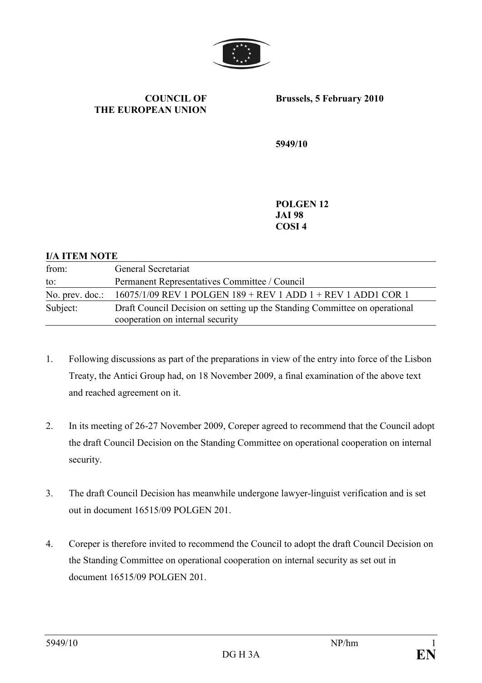

## COUNCIL OF THE EUROPEAN UNION

Brussels, 5 February 2010

5949/10

POLGEN 12 JAI 98 COSI 4

## I/A ITEM NOTE

| from:           | General Secretariat                                                                                            |
|-----------------|----------------------------------------------------------------------------------------------------------------|
| to:             | Permanent Representatives Committee / Council                                                                  |
| No. prev. doc.: | 16075/1/09 REV 1 POLGEN 189 + REV 1 ADD 1 + REV 1 ADD1 COR 1                                                   |
| Subject:        | Draft Council Decision on setting up the Standing Committee on operational<br>cooperation on internal security |

- 1. Following discussions as part of the preparations in view of the entry into force of the Lisbon Treaty, the Antici Group had, on 18 November 2009, a final examination of the above text and reached agreement on it.
- 2. In its meeting of 26-27 November 2009, Coreper agreed to recommend that the Council adopt the draft Council Decision on the Standing Committee on operational cooperation on internal security.
- 3. The draft Council Decision has meanwhile undergone lawyer-linguist verification and is set out in document 16515/09 POLGEN 201.
- 4. Coreper is therefore invited to recommend the Council to adopt the draft Council Decision on the Standing Committee on operational cooperation on internal security as set out in document 16515/09 POLGEN 201.